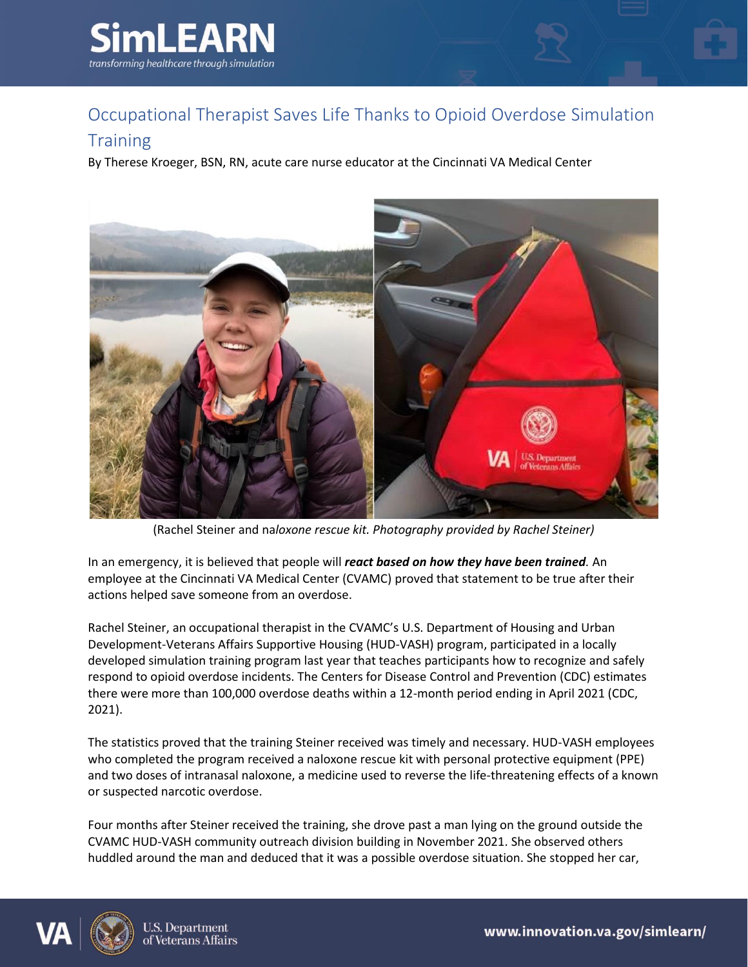



## **Training**

By Therese Kroeger, BSN, RN, acute care nurse educator at the Cincinnati VA Medical Center



(Rachel Steiner and na*loxone rescue kit. Photography provided by Rachel Steiner)*

In an emergency, it is believed that people will *react based on how they have been trained.* An employee at the Cincinnati VA Medical Center (CVAMC) proved that statement to be true after their actions helped save someone from an overdose.

Rachel Steiner, an occupational therapist in the CVAMC's U.S. Department of Housing and Urban Development-Veterans Affairs Supportive Housing (HUD-VASH) program, participated in a locally developed simulation training program last year that teaches participants how to recognize and safely respond to opioid overdose incidents. The Centers for Disease Control and Prevention (CDC) estimates there were more than 100,000 overdose deaths within a 12-month period ending in April 2021 (CDC, 2021).

The statistics proved that the training Steiner received was timely and necessary. HUD-VASH employees who completed the program received a naloxone rescue kit with personal protective equipment (PPE) and two doses of intranasal naloxone, a medicine used to reverse the life-threatening effects of a known or suspected narcotic overdose.

Four months after Steiner received the training, she drove past a man lying on the ground outside the CVAMC HUD-VASH community outreach division building in November 2021. She observed others huddled around the man and deduced that it was a possible overdose situation. She stopped her car,